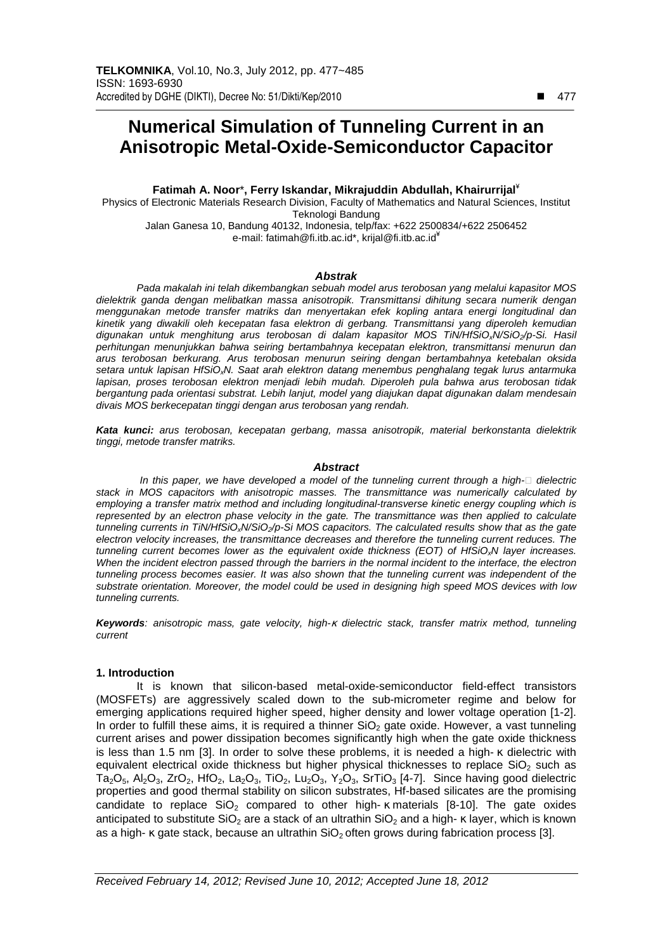# **Numerical Simulation of Tunneling Current in an Anisotropic Metal-Oxide-Semiconductor Capacitor**

**Fatimah A. Noor**\***, Ferry Iskandar, Mikrajuddin Abdullah, Khairurrijal** ¥ Physics of Electronic Materials Research Division, Faculty of Mathematics and Natural Sciences, Institut Teknologi Bandung Jalan Ganesa 10, Bandung 40132, Indonesia, telp/fax: +622 2500834/+622 2506452 e-mail: fatimah@fi.itb.ac.id\*, krijal@fi.itb.ac.id<sup>\*</sup>

#### **Abstrak**

Pada makalah ini telah dikembangkan sebuah model arus terobosan yang melalui kapasitor MOS dielektrik ganda dengan melibatkan massa anisotropik. Transmittansi dihitung secara numerik dengan menggunakan metode transfer matriks dan menyertakan efek kopling antara energi longitudinal dan kinetik yang diwakili oleh kecepatan fasa elektron di gerbang. Transmittansi yang diperoleh kemudian digunakan untuk menghitung arus terobosan di dalam kapasitor MOS TIN/HfSIO<sub>x</sub>N/SIO<sub>2</sub>/p-Si. Hasil perhitungan menunjukkan bahwa seiring bertambahnya kecepatan elektron, transmittansi menurun dan arus terobosan berkurang. Arus terobosan menurun seiring dengan bertambahnya ketebalan oksida setara untuk lapisan HfSiO<sub>x</sub>N. Saat arah elektron datang menembus penghalang tegak lurus antarmuka lapisan, proses terobosan elektron menjadi lebih mudah. Diperoleh pula bahwa arus terobosan tidak bergantung pada orientasi substrat. Lebih lanjut, model yang diajukan dapat digunakan dalam mendesain divais MOS berkecepatan tinggi dengan arus terobosan yang rendah.

**Kata kunci:** arus terobosan, kecepatan gerbang, massa anisotropik, material berkonstanta dielektrik tinggi, metode transfer matriks.

## **Abstract**

In this paper, we have developed a model of the tunneling current through a high- dielectric stack in MOS capacitors with anisotropic masses. The transmittance was numerically calculated by employing a transfer matrix method and including longitudinal-transverse kinetic energy coupling which is represented by an electron phase velocity in the gate. The transmittance was then applied to calculate tunneling currents in TiN/HfSiO<sub>x</sub>N/SiO<sub>2</sub>/p-Si MOS capacitors. The calculated results show that as the gate electron velocity increases, the transmittance decreases and therefore the tunneling current reduces. The tunneling current becomes lower as the equivalent oxide thickness (EOT) of HfSiO<sub>x</sub>N layer increases. When the incident electron passed through the barriers in the normal incident to the interface, the electron tunneling process becomes easier. It was also shown that the tunneling current was independent of the substrate orientation. Moreover, the model could be used in designing high speed MOS devices with low tunneling currents.

**Keywords**: anisotropic mass, gate velocity, high-κ dielectric stack, transfer matrix method, tunneling current

## **1. Introduction**

It is known that silicon-based metal-oxide-semiconductor field-effect transistors (MOSFETs) are aggressively scaled down to the sub-micrometer regime and below for emerging applications required higher speed, higher density and lower voltage operation [1-2]. In order to fulfill these aims, it is required a thinner  $SiO<sub>2</sub>$  gate oxide. However, a vast tunneling current arises and power dissipation becomes significantly high when the gate oxide thickness is less than 1.5 nm [3]. In order to solve these problems, it is needed a high- κ dielectric with equivalent electrical oxide thickness but higher physical thicknesses to replace  $SiO<sub>2</sub>$  such as  $Ta_2O_5$ ,  $Al_2O_3$ ,  $ZrO_2$ ,  $HfO_2$ , La<sub>2</sub>O<sub>3</sub>, TiO<sub>2</sub>, Lu<sub>2</sub>O<sub>3</sub>, Y<sub>2</sub>O<sub>3</sub>, SrTiO<sub>3</sub> [4-7]. Since having good dielectric properties and good thermal stability on silicon substrates, Hf-based silicates are the promising candidate to replace  $SiO<sub>2</sub>$  compared to other high- κ materials [8-10]. The gate oxides anticipated to substitute SiO<sub>2</sub> are a stack of an ultrathin SiO<sub>2</sub> and a high- κ layer, which is known as a high-  $\kappa$  gate stack, because an ultrathin SiO<sub>2</sub> often grows during fabrication process [3].

-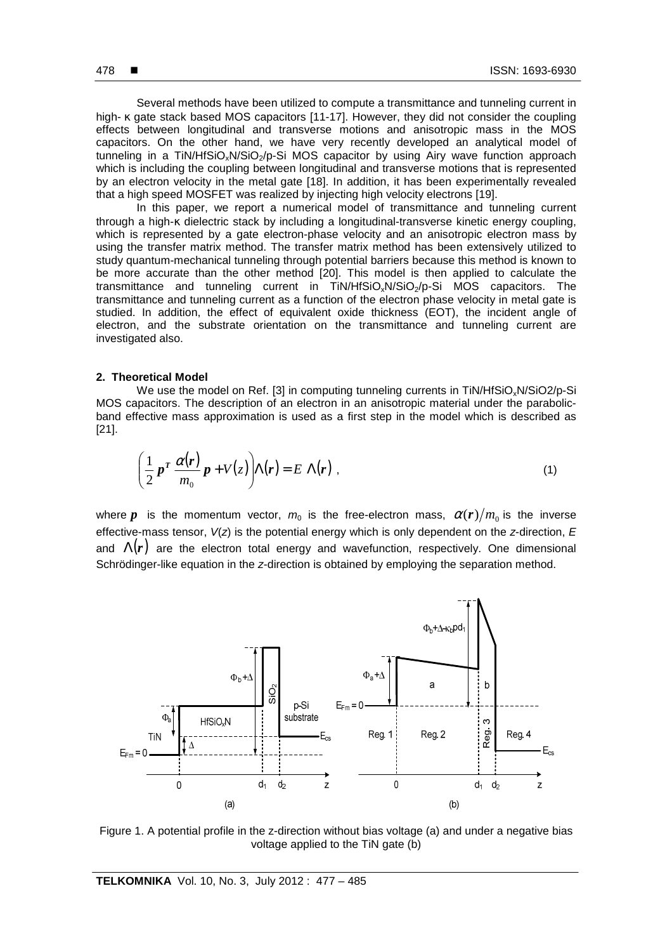Several methods have been utilized to compute a transmittance and tunneling current in high- κ gate stack based MOS capacitors [11-17]. However, they did not consider the coupling effects between longitudinal and transverse motions and anisotropic mass in the MOS capacitors. On the other hand, we have very recently developed an analytical model of tunneling in a TiN/HfSiO<sub>x</sub>N/SiO<sub>2</sub>/p-Si MOS capacitor by using Airy wave function approach which is including the coupling between longitudinal and transverse motions that is represented by an electron velocity in the metal gate [18]. In addition, it has been experimentally revealed that a high speed MOSFET was realized by injecting high velocity electrons [19].

In this paper, we report a numerical model of transmittance and tunneling current through a high-κ dielectric stack by including a longitudinal-transverse kinetic energy coupling, which is represented by a gate electron-phase velocity and an anisotropic electron mass by using the transfer matrix method. The transfer matrix method has been extensively utilized to study quantum-mechanical tunneling through potential barriers because this method is known to be more accurate than the other method [20]. This model is then applied to calculate the transmittance and tunneling current in TiN/HfSiO<sub>x</sub>N/SiO<sub>2</sub>/p-Si MOS capacitors. The transmittance and tunneling current as a function of the electron phase velocity in metal gate is studied. In addition, the effect of equivalent oxide thickness (EOT), the incident angle of electron, and the substrate orientation on the transmittance and tunneling current are investigated also.

## **2. Theoretical Model**

We use the model on Ref. [3] in computing tunneling currents in TiN/HfSiO<sub>x</sub>N/SiO2/p-Si MOS capacitors. The description of an electron in an anisotropic material under the parabolicband effective mass approximation is used as a first step in the model which is described as [21].

$$
\left(\frac{1}{2}p^T\frac{\alpha(r)}{m_0}p + V(z)\right)\Lambda(r) = E \Lambda(r) , \qquad (1)
$$

where *p* is the momentum vector,  $m_0$  is the free-electron mass,  $\alpha(r)/m_0$  is the inverse effective-mass tensor,  $V(z)$  is the potential energy which is only dependent on the z-direction,  $E$ and  $\Lambda(r)$  are the electron total energy and wavefunction, respectively. One dimensional Schrödinger-like equation in the z-direction is obtained by employing the separation method.



Figure 1. A potential profile in the z-direction without bias voltage (a) and under a negative bias voltage applied to the TiN gate (b)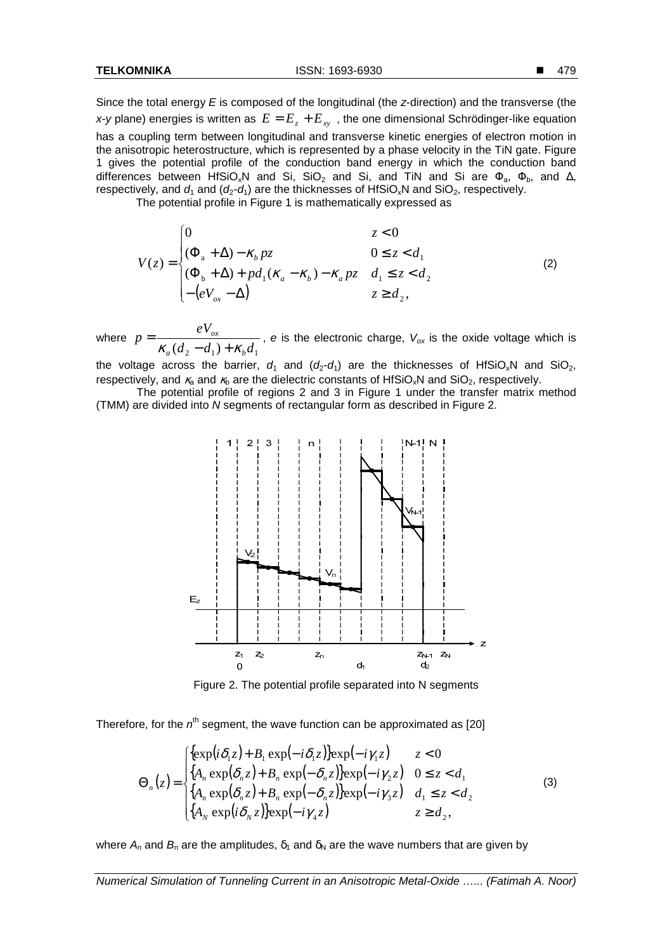Since the total energy  $E$  is composed of the longitudinal (the  $z$ -direction) and the transverse (the x-y plane) energies is written as  $E = E_z + E_{xy}$ , the one dimensional Schrödinger-like equation has a coupling term between longitudinal and transverse kinetic energies of electron motion in the anisotropic heterostructure, which is represented by a phase velocity in the TiN gate. Figure 1 gives the potential profile of the conduction band energy in which the conduction band differences between HfSiO<sub>x</sub>N and Si, SiO<sub>2</sub> and Si, and TiN and Si are  $\Phi_{a}$ ,  $\Phi_{b}$ , and  $\Delta$ , respectively, and  $d_1$  and  $(d_2-d_1)$  are the thicknesses of HfSiO<sub>x</sub>N and SiO<sub>2</sub>, respectively.

The potential profile in Figure 1 is mathematically expressed as

$$
V(z) = \begin{cases} 0 & z < 0\\ (\Phi_a + \Delta) - \kappa_b p z & 0 \le z < d_1\\ (\Phi_b + \Delta) + p d_1 (\kappa_a - \kappa_b) - \kappa_a p z & d_1 \le z < d_2\\ -(eV_{ox} - \Delta) & z \ge d_2, \end{cases}
$$
(2)

where  $(d_2 - d_1) + \kappa_b d_1$ *eV p*  $a \times a_2 \quad a_1 \times b_2$ *ox*  $\kappa_a (d_2 - d_1) + \kappa_b$  $=$   $\frac{C V_{ox}}{1}$ , e is the electronic charge,  $V_{ox}$  is the oxide voltage which is

the voltage across the barrier,  $d_1$  and  $(d_2-d_1)$  are the thicknesses of HfSiO<sub>x</sub>N and SiO<sub>2</sub>, respectively, and κ<sub>α</sub> and κ<sub>b</sub> are the dielectric constants of HfSiO<sub>x</sub>N and SiO<sub>2</sub>, respectively.

 The potential profile of regions 2 and 3 in Figure 1 under the transfer matrix method (TMM) are divided into N segments of rectangular form as described in Figure 2.



Figure 2. The potential profile separated into N segments

Therefore, for the  $n^{th}$  segment, the wave function can be approximated as [20]

$$
\Theta_n(z) = \begin{cases}\n\{\exp(i\delta_1 z) + B_1 \exp(-i\delta_1 z)\} \exp(-i\gamma_1 z) & z < 0 \\
\{A_n \exp(\delta_n z) + B_n \exp(-\delta_n z)\} \exp(-i\gamma_2 z) & 0 \le z < d_1 \\
\{A_n \exp(\delta_n z) + B_n \exp(-\delta_n z)\} \exp(-i\gamma_3 z) & d_1 \le z < d_2 \\
\{A_N \exp(i\delta_N z)\} \exp(-i\gamma_4 z) & z \ge d_2,\n\end{cases}
$$
\n(3)

where  $A_n$  and  $B_n$  are the amplitudes,  $\delta_1$  and  $\delta_N$  are the wave numbers that are given by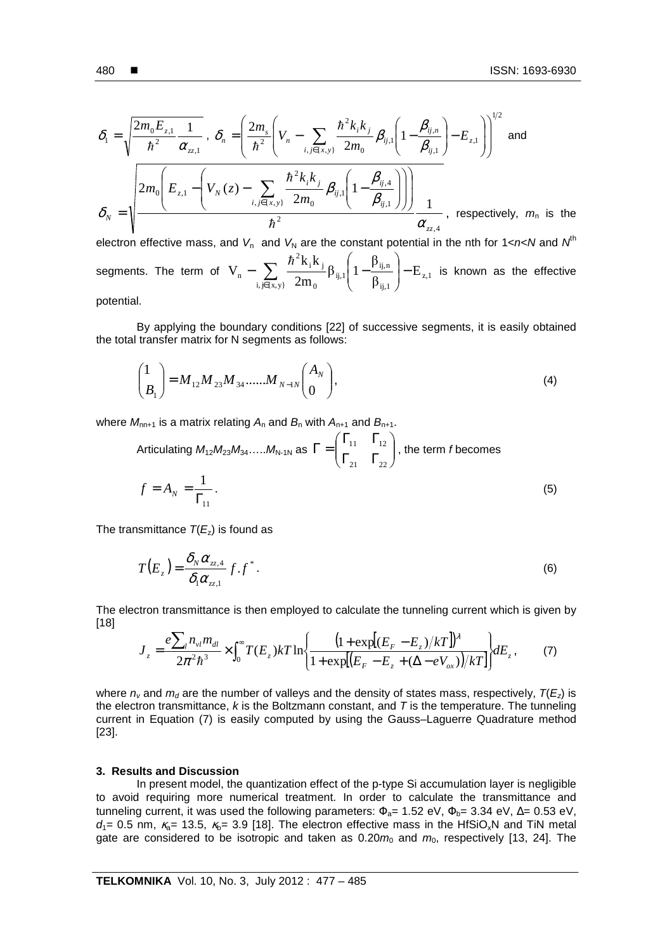$$
\delta_{1} = \sqrt{\frac{2m_{0}E_{z,1}}{\hbar^{2}} \frac{1}{\alpha_{z,1}}} , \quad \delta_{n} = \left(\frac{2m_{s}}{\hbar^{2}}\left(V_{n} - \sum_{i,j \in \{x,y\}} \frac{\hbar^{2}k_{i}k_{j}}{2m_{0}} \beta_{ij,l}\left(1 - \frac{\beta_{ij,n}}{\beta_{ij,l}}\right) - E_{z,l}\right)\right)^{1/2} \text{ and}
$$
\n
$$
\delta_{N} = \sqrt{\frac{2m_{0}\left(E_{z,1} - \left(V_{N}\left(z\right) - \sum_{i,j \in \{x,y\}} \frac{\hbar^{2}k_{i}k_{j}}{2m_{0}} \beta_{ij,l}\left(1 - \frac{\beta_{ij,4}}{\beta_{ij,l}}\right)\right)\right)}{\hbar^{2}} \frac{1}{\alpha_{zz,4}}}, \text{ respectively, } m_{n} \text{ is the}
$$

electron effective mass, and  $V_n$  and  $V_N$  are the constant potential in the nth for 1<n<N and  $N^{\text{th}}$ segments. The term of  $V_{n} - \sum_{n=1}^{\infty} \frac{1}{2} \frac{1}{2} \beta_{ij,1} \left[ 1 - \frac{1}{2} \frac{1}{2} \right] - E_{i,1}$  $i, j \in \{x, y\}$   $\angle$ **III**<sub>0</sub> (P<sub>ij,1</sub>) nij, ij,1  $\mathbf{0}$ i nj 2  $_{\rm n}$  -  $\sum_{\rm i, \rm i \in \{x,y\}} \frac{1-\epsilon_{\rm 1}-1}{2m_{\rm 0}} \beta_{\rm ij,1} \left(1-\frac{F_{\rm ij,n}}{\beta_{\rm ii,1}}\right) - \rm{E}$ β  $\beta_{ii,1}$  1 2m  $k_i$  $V_n - \sum_{n=1}^{\infty} \frac{n!}{2m} \beta_{i j, 1} \left[ 1 - \frac{F_{i j, n}}{R} \right]$  $\overline{\phantom{a}}$ J  $\backslash$  $\mathsf{I}$  $\mathsf{I}$ l  $- \sum \frac{\hbar^2 k_i k_j}{2m} \beta_{ij,1} \Bigg[ 1 -$ ∈ h is known as the effective potential.

 By applying the boundary conditions [22] of successive segments, it is easily obtained the total transfer matrix for N segments as follows:

$$
\binom{1}{B_1} = M_{12} M_{23} M_{34} \dots M_{N-1N} \binom{A_N}{0},\tag{4}
$$

where  $M_{nn+1}$  is a matrix relating  $A_n$  and  $B_n$  with  $A_{n+1}$  and  $B_{n+1}$ .

Articulating 
$$
M_{12}M_{23}M_{34}
$$
.... $M_{N-1N}$  as  $\Gamma = \begin{pmatrix} \Gamma_{11} & \Gamma_{12} \\ \Gamma_{21} & \Gamma_{22} \end{pmatrix}$ , the term *f* becomes  
\n
$$
f = A_N = \frac{1}{\Gamma_{11}}.
$$
\n(5)

The transmittance  $T(E_z)$  is found as

$$
T(E_z) = \frac{\delta_N \alpha_{zz,4}}{\delta_1 \alpha_{zz,1}} f.f^*.
$$
 (6)

The electron transmittance is then employed to calculate the tunneling current which is given by [18]

$$
J_z = \frac{e\sum_{l} n_{vl} m_{dl}}{2\pi^2 \hbar^3} \times \int_0^{\infty} T(E_z) kT \ln\left\{ \frac{\left(1 + \exp[(E_F - E_z)/kT]\right)^{\lambda}}{1 + \exp[(E_F - E_z + (\Delta - eV_{ox}))/kT]} \right\} dE_z, \tag{7}
$$

where  $n_v$  and  $m_d$  are the number of valleys and the density of states mass, respectively,  $T(E_z)$  is the electron transmittance,  $k$  is the Boltzmann constant, and  $T$  is the temperature. The tunneling current in Equation (7) is easily computed by using the Gauss–Laguerre Quadrature method [23].

#### **3. Results and Discussion**

In present model, the quantization effect of the p-type Si accumulation layer is negligible to avoid requiring more numerical treatment. In order to calculate the transmittance and tunneling current, it was used the following parameters:  $\Phi_{a}$ = 1.52 eV,  $\Phi_{b}$ = 3.34 eV,  $\Delta$ = 0.53 eV,  $d_1$ = 0.5 nm,  $\kappa_{a}$ = 13.5,  $\kappa_{b}$ = 3.9 [18]. The electron effective mass in the HfSiO<sub>x</sub>N and TiN metal gate are considered to be isotropic and taken as  $0.20m_0$  and  $m_0$ , respectively [13, 24]. The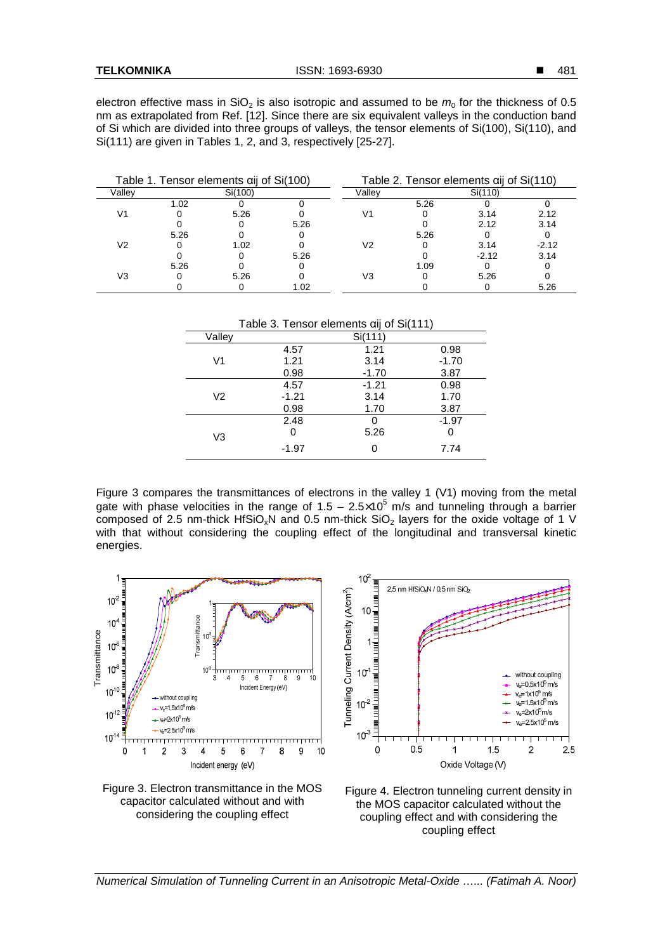electron effective mass in SiO<sub>2</sub> is also isotropic and assumed to be  $m_0$  for the thickness of 0.5 nm as extrapolated from Ref. [12]. Since there are six equivalent valleys in the conduction band of Si which are divided into three groups of valleys, the tensor elements of Si(100), Si(110), and Si(111) are given in Tables 1, 2, and 3, respectively [25-27].

| Table 1. Tensor elements aij of Si(100) |      |         | Table 2. Tensor elements aij of Si(110) |        |      |         |         |
|-----------------------------------------|------|---------|-----------------------------------------|--------|------|---------|---------|
| Valley                                  |      | Si(100) |                                         | Vallev |      | Si(110) |         |
| V1                                      | 1.02 |         |                                         | V1     | 5.26 |         |         |
|                                         |      | 5.26    |                                         |        |      | 3.14    | 2.12    |
|                                         |      |         | 5.26                                    |        |      | 2.12    | 3.14    |
| V2                                      | 5.26 |         |                                         | V2     | 5.26 |         |         |
|                                         |      | 1.02    |                                         |        |      | 3.14    | $-2.12$ |
|                                         |      |         | 5.26                                    |        |      | $-2.12$ | 3.14    |
| V3                                      | 5.26 |         |                                         | V3     | 1.09 |         |         |
|                                         |      | 5.26    |                                         |        |      | 5.26    |         |
|                                         |      |         | 1.02                                    |        |      |         | 5.26    |

| Table 3. Tensor elements aij of Si(111) |         |         |         |  |  |  |  |
|-----------------------------------------|---------|---------|---------|--|--|--|--|
| Valley                                  |         | Si(111) |         |  |  |  |  |
|                                         | 4.57    | 1.21    | 0.98    |  |  |  |  |
| V1                                      | 1.21    | 3.14    | $-1.70$ |  |  |  |  |
|                                         | 0.98    | $-1.70$ | 3.87    |  |  |  |  |
|                                         | 4.57    | $-1.21$ | 0.98    |  |  |  |  |
| V2                                      | $-1.21$ | 3.14    | 1.70    |  |  |  |  |
|                                         | 0.98    | 1.70    | 3.87    |  |  |  |  |
|                                         | 2.48    | 0       | $-1.97$ |  |  |  |  |
| V3                                      | 0       | 5.26    | O       |  |  |  |  |
|                                         | $-1.97$ | 0       | 7.74    |  |  |  |  |

Figure 3 compares the transmittances of electrons in the valley 1 (V1) moving from the metal gate with phase velocities in the range of  $1.5 - 2.5 \times 10^5$  m/s and tunneling through a barrier composed of 2.5 nm-thick HfSiO<sub>x</sub>N and 0.5 nm-thick SiO<sub>2</sub> layers for the oxide voltage of 1 V with that without considering the coupling effect of the longitudinal and transversal kinetic energies.



Figure 3. Electron transmittance in the MOS capacitor calculated without and with considering the coupling effect





Numerical Simulation of Tunneling Current in an Anisotropic Metal-Oxide …... (Fatimah A. Noor)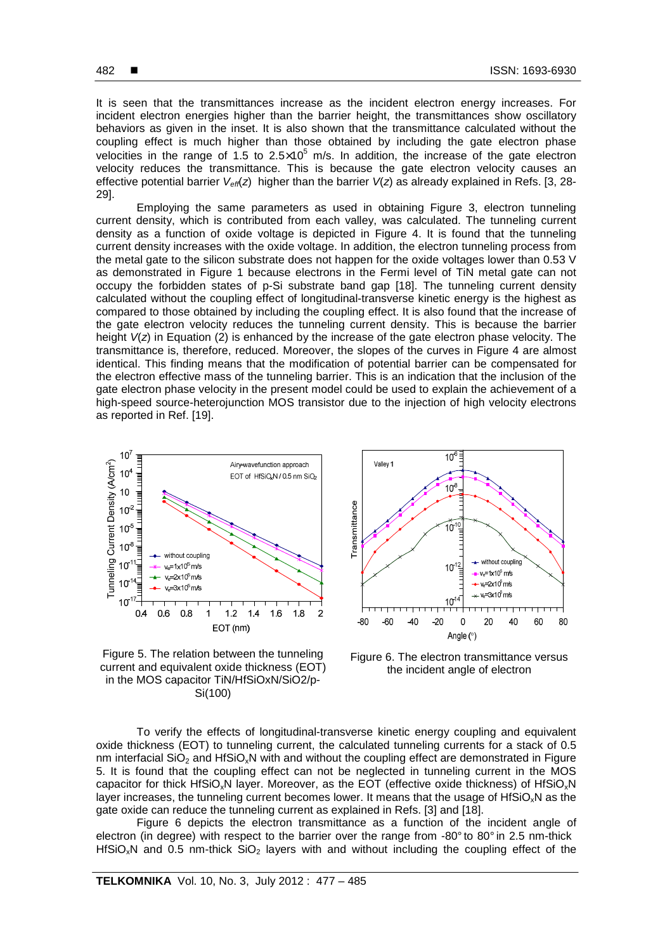It is seen that the transmittances increase as the incident electron energy increases. For incident electron energies higher than the barrier height, the transmittances show oscillatory behaviors as given in the inset. It is also shown that the transmittance calculated without the coupling effect is much higher than those obtained by including the gate electron phase velocities in the range of 1.5 to 2.5 $\times$ 10<sup>5</sup> m/s. In addition, the increase of the gate electron velocity reduces the transmittance. This is because the gate electron velocity causes an effective potential barrier  $V_{\text{eff}}(z)$  higher than the barrier  $V(z)$  as already explained in Refs. [3, 28-29].

 Employing the same parameters as used in obtaining Figure 3, electron tunneling current density, which is contributed from each valley, was calculated. The tunneling current density as a function of oxide voltage is depicted in Figure 4. It is found that the tunneling current density increases with the oxide voltage. In addition, the electron tunneling process from the metal gate to the silicon substrate does not happen for the oxide voltages lower than 0.53 V as demonstrated in Figure 1 because electrons in the Fermi level of TiN metal gate can not occupy the forbidden states of p-Si substrate band gap [18]. The tunneling current density calculated without the coupling effect of longitudinal-transverse kinetic energy is the highest as compared to those obtained by including the coupling effect. It is also found that the increase of the gate electron velocity reduces the tunneling current density. This is because the barrier height  $V(z)$  in Equation (2) is enhanced by the increase of the gate electron phase velocity. The transmittance is, therefore, reduced. Moreover, the slopes of the curves in Figure 4 are almost identical. This finding means that the modification of potential barrier can be compensated for the electron effective mass of the tunneling barrier. This is an indication that the inclusion of the gate electron phase velocity in the present model could be used to explain the achievement of a high-speed source-heterojunction MOS transistor due to the injection of high velocity electrons as reported in Ref. [19].



Figure 5. The relation between the tunneling current and equivalent oxide thickness (EOT) in the MOS capacitor TiN/HfSiOxN/SiO2/p-Si(100)



Figure 6. The electron transmittance versus the incident angle of electron

To verify the effects of longitudinal-transverse kinetic energy coupling and equivalent oxide thickness (EOT) to tunneling current, the calculated tunneling currents for a stack of 0.5 nm interfacial  $SiO<sub>2</sub>$  and HfSiO<sub>x</sub>N with and without the coupling effect are demonstrated in Figure 5. It is found that the coupling effect can not be neglected in tunneling current in the MOS capacitor for thick HfSiO<sub>x</sub>N layer. Moreover, as the EOT (effective oxide thickness) of HfSiO<sub>x</sub>N layer increases, the tunneling current becomes lower. It means that the usage of HfSiO<sub>x</sub>N as the gate oxide can reduce the tunneling current as explained in Refs. [3] and [18].

 Figure 6 depicts the electron transmittance as a function of the incident angle of electron (in degree) with respect to the barrier over the range from -80° to 80° in 2.5 nm-thick  $HSSO,N$  and 0.5 nm-thick  $SiO<sub>2</sub>$  layers with and without including the coupling effect of the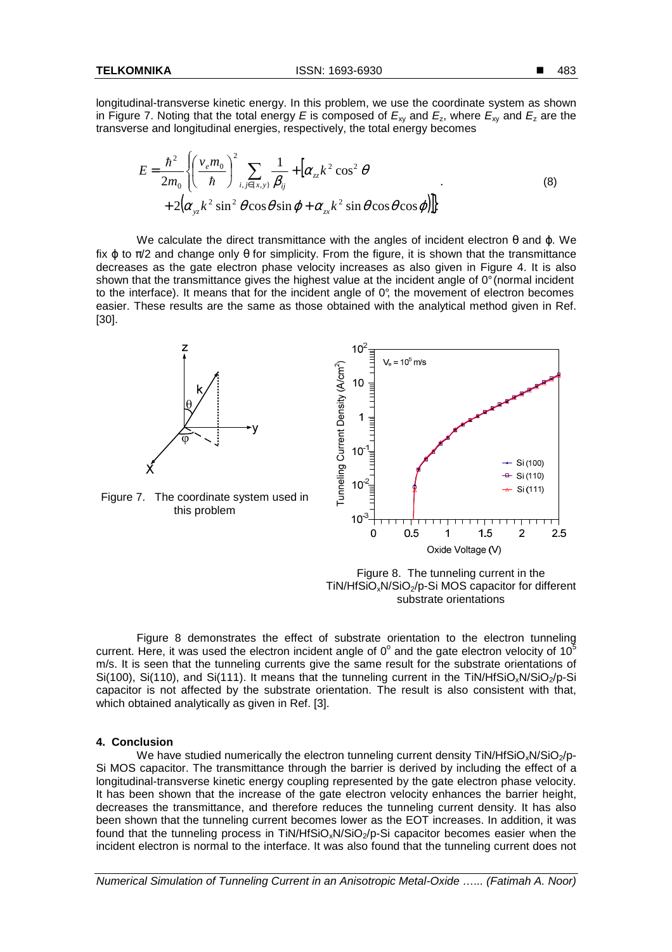longitudinal-transverse kinetic energy. In this problem, we use the coordinate system as shown in Figure 7. Noting that the total energy E is composed of  $E_{xy}$  and  $E_{z}$ , where  $E_{xy}$  and  $E_{z}$  are the transverse and longitudinal energies, respectively, the total energy becomes

$$
E = \frac{\hbar^2}{2m_0} \left\{ \left( \frac{v_e m_0}{\hbar} \right)^2 \sum_{i,j \in \{x,y\}} \frac{1}{\beta_{ij}} + \left[ \alpha_{zz} k^2 \cos^2 \theta \right. \\ + 2 \left( \alpha_{yz} k^2 \sin^2 \theta \cos \theta \sin \varphi + \alpha_{zx} k^2 \sin \theta \cos \theta \cos \varphi \right) \right\}
$$
 (8)

We calculate the direct transmittance with the angles of incident electron  $\theta$  and  $\varphi$ . We fix  $\omega$  to  $\pi/2$  and change only  $\theta$  for simplicity. From the figure, it is shown that the transmittance decreases as the gate electron phase velocity increases as also given in Figure 4. It is also shown that the transmittance gives the highest value at the incident angle of 0° (normal incident to the interface). It means that for the incident angle of 0°, the movement of electron becomes easier. These results are the same as those obtained with the analytical method given in Ref. [30].





Figure 7. The coordinate system used in this problem

Figure 8. The tunneling current in the  $TiN/HfSiO<sub>x</sub>N/SiO<sub>2</sub>/p-Si MOS capacitor for different$ substrate orientations

 Figure 8 demonstrates the effect of substrate orientation to the electron tunneling current. Here, it was used the electron incident angle of  $0^{\circ}$  and the gate electron velocity of 10<sup>5</sup> m/s. It is seen that the tunneling currents give the same result for the substrate orientations of Si(100), Si(110), and Si(111). It means that the tunneling current in the TiN/HfSiO<sub>x</sub>N/SiO<sub>2</sub>/p-Si capacitor is not affected by the substrate orientation. The result is also consistent with that, which obtained analytically as given in Ref. [3].

# **4. Conclusion**

We have studied numerically the electron tunneling current density  $TiN/HfSiO-N/SiO<sub>2</sub>/D-$ Si MOS capacitor. The transmittance through the barrier is derived by including the effect of a longitudinal-transverse kinetic energy coupling represented by the gate electron phase velocity. It has been shown that the increase of the gate electron velocity enhances the barrier height, decreases the transmittance, and therefore reduces the tunneling current density. It has also been shown that the tunneling current becomes lower as the EOT increases. In addition, it was found that the tunneling process in TiN/HfSiO<sub>x</sub>N/SiO<sub>2</sub>/p-Si capacitor becomes easier when the incident electron is normal to the interface. It was also found that the tunneling current does not

2.5

Numerical Simulation of Tunneling Current in an Anisotropic Metal-Oxide …... (Fatimah A. Noor)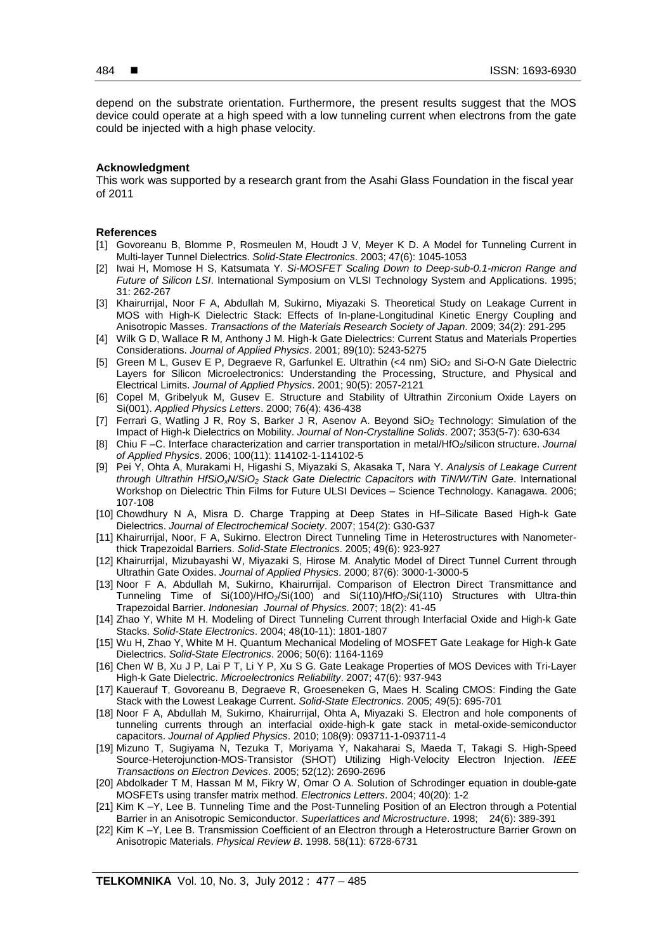depend on the substrate orientation. Furthermore, the present results suggest that the MOS device could operate at a high speed with a low tunneling current when electrons from the gate could be injected with a high phase velocity.

## **Acknowledgment**

This work was supported by a research grant from the Asahi Glass Foundation in the fiscal year of 2011

#### **References**

- [1] Govoreanu B, Blomme P, Rosmeulen M, Houdt J V, Meyer K D. A Model for Tunneling Current in Multi-layer Tunnel Dielectrics. Solid-State Electronics. 2003; 47(6): 1045-1053
- [2] Iwai H, Momose H S, Katsumata Y. Si-MOSFET Scaling Down to Deep-sub-0.1-micron Range and Future of Silicon LSI. International Symposium on VLSI Technology System and Applications. 1995; 31: 262-267
- [3] Khairurrijal, Noor F A, Abdullah M, Sukirno, Miyazaki S. Theoretical Study on Leakage Current in MOS with High-K Dielectric Stack: Effects of In-plane-Longitudinal Kinetic Energy Coupling and Anisotropic Masses. Transactions of the Materials Research Society of Japan. 2009; 34(2): 291-295
- [4] Wilk G D, Wallace R M, Anthony J M. High-k Gate Dielectrics: Current Status and Materials Properties Considerations. Journal of Applied Physics. 2001; 89(10): 5243-5275
- [5] Green M L, Gusev E P, Degraeve R, Garfunkel E. Ultrathin (<4 nm) SiO<sub>2</sub> and Si-O-N Gate Dielectric Layers for Silicon Microelectronics: Understanding the Processing, Structure, and Physical and Electrical Limits. Journal of Applied Physics. 2001; 90(5): 2057-2121
- [6] Copel M, Gribelyuk M, Gusev E. Structure and Stability of Ultrathin Zirconium Oxide Layers on Si(001). Applied Physics Letters. 2000; 76(4): 436-438
- [7] Ferrari G, Watling J R, Roy S, Barker J R, Asenov A. Beyond SiO<sub>2</sub> Technology: Simulation of the Impact of High-k Dielectrics on Mobility. Journal of Non-Crystalline Solids. 2007; 353(5-7): 630-634
- [8] Chiu F-C. Interface characterization and carrier transportation in metal/HfO<sub>2</sub>/silicon structure. Journal of Applied Physics. 2006; 100(11): 114102-1-114102-5
- [9] Pei Y, Ohta A, Murakami H, Higashi S, Miyazaki S, Akasaka T, Nara Y. Analysis of Leakage Current through Ultrathin HfSiO<sub>x</sub>N/SiO<sub>2</sub> Stack Gate Dielectric Capacitors with TiN/W/TiN Gate. International Workshop on Dielectric Thin Films for Future ULSI Devices – Science Technology. Kanagawa. 2006; 107-108
- [10] Chowdhury N A, Misra D. Charge Trapping at Deep States in Hf–Silicate Based High-k Gate Dielectrics. Journal of Electrochemical Society. 2007; 154(2): G30-G37
- [11] Khairurrijal, Noor, F A, Sukirno. Electron Direct Tunneling Time in Heterostructures with Nanometerthick Trapezoidal Barriers. Solid-State Electronics. 2005; 49(6): 923-927
- [12] Khairurrijal, Mizubayashi W, Miyazaki S, Hirose M. Analytic Model of Direct Tunnel Current through Ultrathin Gate Oxides. Journal of Applied Physics. 2000; 87(6): 3000-1-3000-5
- [13] Noor F A, Abdullah M, Sukirno, Khairurrijal. Comparison of Electron Direct Transmittance and Tunneling Time of Si(100)/HfO2/Si(100) and Si(110)/HfO2/Si(110) Structures with Ultra-thin Trapezoidal Barrier. Indonesian Journal of Physics. 2007; 18(2): 41-45
- [14] Zhao Y, White M H. Modeling of Direct Tunneling Current through Interfacial Oxide and High-k Gate Stacks. Solid-State Electronics. 2004; 48(10-11): 1801-1807
- [15] Wu H, Zhao Y, White M H. Quantum Mechanical Modeling of MOSFET Gate Leakage for High-k Gate Dielectrics. Solid-State Electronics. 2006; 50(6): 1164-1169
- [16] Chen W B, Xu J P, Lai P T, Li Y P, Xu S G. Gate Leakage Properties of MOS Devices with Tri-Layer High-k Gate Dielectric. Microelectronics Reliability. 2007; 47(6): 937-943
- [17] Kauerauf T, Govoreanu B, Degraeve R, Groeseneken G, Maes H. Scaling CMOS: Finding the Gate Stack with the Lowest Leakage Current. Solid-State Electronics. 2005; 49(5): 695-701
- [18] Noor F A, Abdullah M, Sukirno, Khairurrijal, Ohta A, Miyazaki S. Electron and hole components of tunneling currents through an interfacial oxide-high-k gate stack in metal-oxide-semiconductor capacitors. Journal of Applied Physics. 2010; 108(9): 093711-1-093711-4
- [19] Mizuno T, Sugiyama N, Tezuka T, Moriyama Y, Nakaharai S, Maeda T, Takagi S. High-Speed Source-Heterojunction-MOS-Transistor (SHOT) Utilizing High-Velocity Electron Injection. IEEE Transactions on Electron Devices. 2005; 52(12): 2690-2696
- [20] Abdolkader T M, Hassan M M, Fikry W, Omar O A. Solution of Schrodinger equation in double-gate MOSFETs using transfer matrix method. Electronics Letters. 2004; 40(20): 1-2
- [21] Kim K –Y, Lee B. Tunneling Time and the Post-Tunneling Position of an Electron through a Potential Barrier in an Anisotropic Semiconductor. Superlattices and Microstructure. 1998; 24(6): 389-391
- [22] Kim K –Y, Lee B. Transmission Coefficient of an Electron through a Heterostructure Barrier Grown on Anisotropic Materials. Physical Review B. 1998. 58(11): 6728-6731